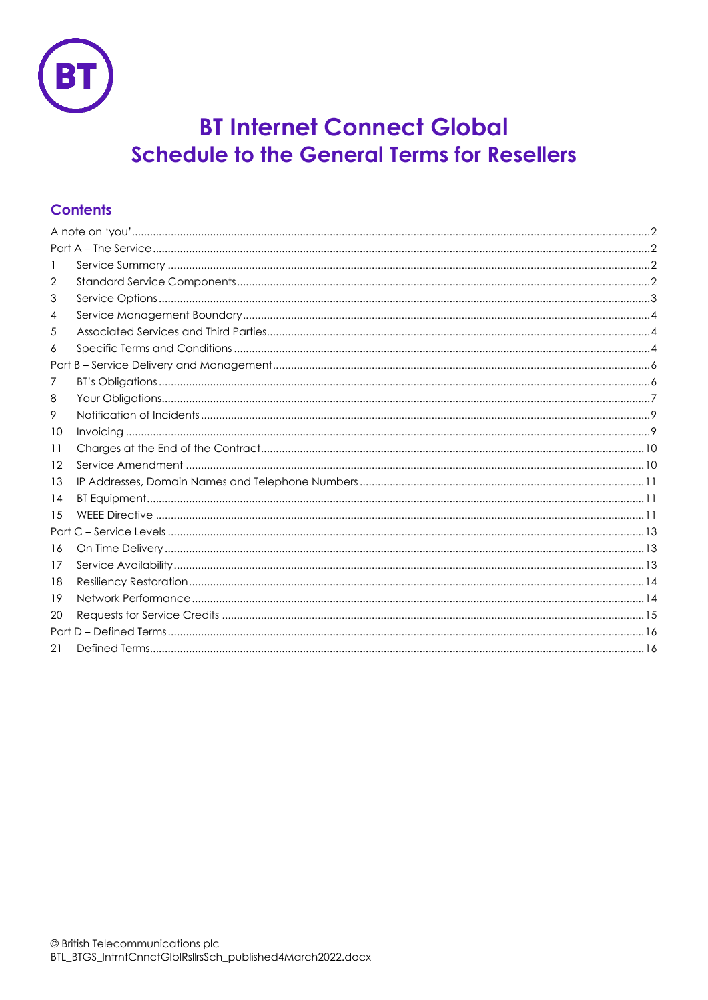

# **BT Internet Connect Global Schedule to the General Terms for Resellers**

# **Contents**

| 2    |  |  |
|------|--|--|
| 3    |  |  |
| 4    |  |  |
| 5    |  |  |
| 6    |  |  |
|      |  |  |
| 7    |  |  |
| 8    |  |  |
| 9    |  |  |
| 10   |  |  |
| 11   |  |  |
| 12   |  |  |
| 13   |  |  |
| 14   |  |  |
| 15   |  |  |
| Part |  |  |
| 16   |  |  |
| 17   |  |  |
| 18   |  |  |
| 19   |  |  |
| 20   |  |  |
|      |  |  |
| 21   |  |  |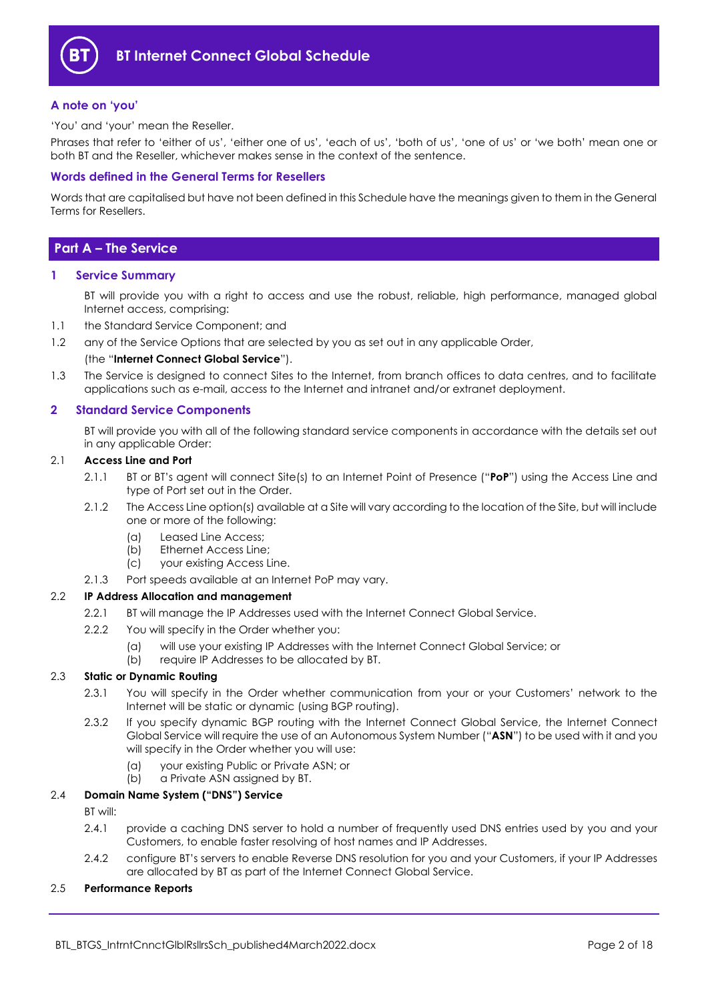

#### <span id="page-1-0"></span>**A note on 'you'**

'You' and 'your' mean the Reseller.

Phrases that refer to 'either of us', 'either one of us', 'each of us', 'both of us', 'one of us' or 'we both' mean one or both BT and the Reseller, whichever makes sense in the context of the sentence.

#### **Words defined in the General Terms for Resellers**

Words that are capitalised but have not been defined in this Schedule have the meanings given to them in the General Terms for Resellers.

# <span id="page-1-1"></span>**Part A – The Service**

#### <span id="page-1-2"></span>**1 Service Summary**

BT will provide you with a right to access and use the robust, reliable, high performance, managed global Internet access, comprising:

1.1 the Standard Service Component; and

1.2 any of the Service Options that are selected by you as set out in any applicable Order,

#### (the "**Internet Connect Global Service**").

1.3 The Service is designed to connect Sites to the Internet, from branch offices to data centres, and to facilitate applications such as e-mail, access to the Internet and intranet and/or extranet deployment.

#### <span id="page-1-3"></span>**2 Standard Service Components**

BT will provide you with all of the following standard service components in accordance with the details set out in any applicable Order:

### 2.1 **Access Line and Port**

- 2.1.1 BT or BT's agent will connect Site(s) to an Internet Point of Presence ("**PoP**") using the Access Line and type of Port set out in the Order.
- 2.1.2 The Access Line option(s) available at a Site will vary according to the location of the Site, but will include one or more of the following:
	- (a) Leased Line Access;
	- (b) Ethernet Access Line;
	- (c) your existing Access Line.
- 2.1.3 Port speeds available at an Internet PoP may vary.

#### 2.2 **IP Address Allocation and management**

- 2.2.1 BT will manage the IP Addresses used with the Internet Connect Global Service.
- 2.2.2 You will specify in the Order whether you:
	- (a) will use your existing IP Addresses with the Internet Connect Global Service; or
	- (b) require IP Addresses to be allocated by BT.

#### 2.3 **Static or Dynamic Routing**

- 2.3.1 You will specify in the Order whether communication from your or your Customers' network to the Internet will be static or dynamic (using BGP routing).
- 2.3.2 If you specify dynamic BGP routing with the Internet Connect Global Service, the Internet Connect Global Service will require the use of an Autonomous System Number ("**ASN**") to be used with it and you will specify in the Order whether you will use:
	- (a) your existing Public or Private ASN; or
	- (b) a Private ASN assigned by BT.

#### 2.4 **Domain Name System ("DNS") Service**

BT will:

- 2.4.1 provide a caching DNS server to hold a number of frequently used DNS entries used by you and your Customers, to enable faster resolving of host names and IP Addresses.
- 2.4.2 configure BT's servers to enable Reverse DNS resolution for you and your Customers, if your IP Addresses are allocated by BT as part of the Internet Connect Global Service.

#### <span id="page-1-4"></span>2.5 **Performance Reports**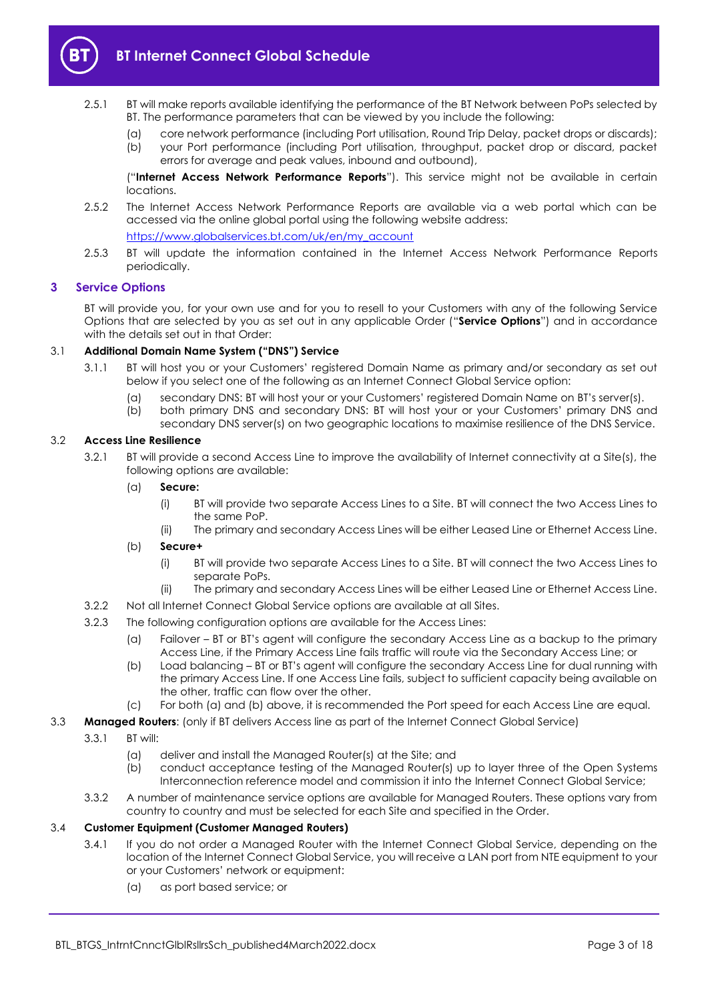

- <span id="page-2-2"></span>2.5.1 BT will make reports available identifying the performance of the BT Network between PoPs selected by BT. The performance parameters that can be viewed by you include the following:
	- (a) core network performance (including Port utilisation, Round Trip Delay, packet drops or discards);
	- (b) your Port performance (including Port utilisation, throughput, packet drop or discard, packet errors for average and peak values, inbound and outbound),

("**Internet Access Network Performance Reports**"). This service might not be available in certain locations.

2.5.2 The Internet Access Network Performance Reports are available via a web portal which can be accessed via the online global portal using the following website address:

[https://www.globalservices.bt.com/uk/en/my\\_account](https://www.globalservices.bt.com/uk/en/my_account)

2.5.3 BT will update the information contained in the Internet Access Network Performance Reports periodically.

#### <span id="page-2-0"></span>**3 Service Options**

BT will provide you, for your own use and for you to resell to your Customers with any of the following Service Options that are selected by you as set out in any applicable Order ("**Service Options**") and in accordance with the details set out in that Order:

#### 3.1 **Additional Domain Name System ("DNS") Service**

- 3.1.1 BT will host you or your Customers' registered Domain Name as primary and/or secondary as set out below if you select one of the following as an Internet Connect Global Service option:
	- (a) secondary DNS: BT will host your or your Customers' registered Domain Name on BT's server(s).
	- (b) both primary DNS and secondary DNS: BT will host your or your Customers' primary DNS and secondary DNS server(s) on two geographic locations to maximise resilience of the DNS Service.

#### <span id="page-2-1"></span>3.2 **Access Line Resilience**

3.2.1 BT will provide a second Access Line to improve the availability of Internet connectivity at a Site(s), the following options are available:

#### (a) **Secure:**

- (i) BT will provide two separate Access Lines to a Site. BT will connect the two Access Lines to the same PoP.
- (ii) The primary and secondary Access Lines will be either Leased Line or Ethernet Access Line.

#### (b) **Secure+**

- (i) BT will provide two separate Access Lines to a Site. BT will connect the two Access Lines to separate PoPs.
- (ii) The primary and secondary Access Lines will be either Leased Line or Ethernet Access Line.
- 3.2.2 Not all Internet Connect Global Service options are available at all Sites.
- 3.2.3 The following configuration options are available for the Access Lines:
	- (a) Failover BT or BT's agent will configure the secondary Access Line as a backup to the primary Access Line, if the Primary Access Line fails traffic will route via the Secondary Access Line; or
	- (b) Load balancing BT or BT's agent will configure the secondary Access Line for dual running with the primary Access Line. If one Access Line fails, subject to sufficient capacity being available on the other, traffic can flow over the other.
	- (c) For both (a) and (b) above, it is recommended the Port speed for each Access Line are equal.

#### 3.3 **Managed Routers**: (only if BT delivers Access line as part of the Internet Connect Global Service)

- 3.3.1 BT will:
	- (a) deliver and install the Managed Router(s) at the Site; and
	- (b) conduct acceptance testing of the Managed Router(s) up to layer three of the Open Systems Interconnection reference model and commission it into the Internet Connect Global Service;
- 3.3.2 A number of maintenance service options are available for Managed Routers. These options vary from country to country and must be selected for each Site and specified in the Order.

## 3.4 **Customer Equipment (Customer Managed Routers)**

- 3.4.1 If you do not order a Managed Router with the Internet Connect Global Service, depending on the location of the Internet Connect Global Service, you will receive a LAN port from NTE equipment to your or your Customers' network or equipment:
	- (a) as port based service; or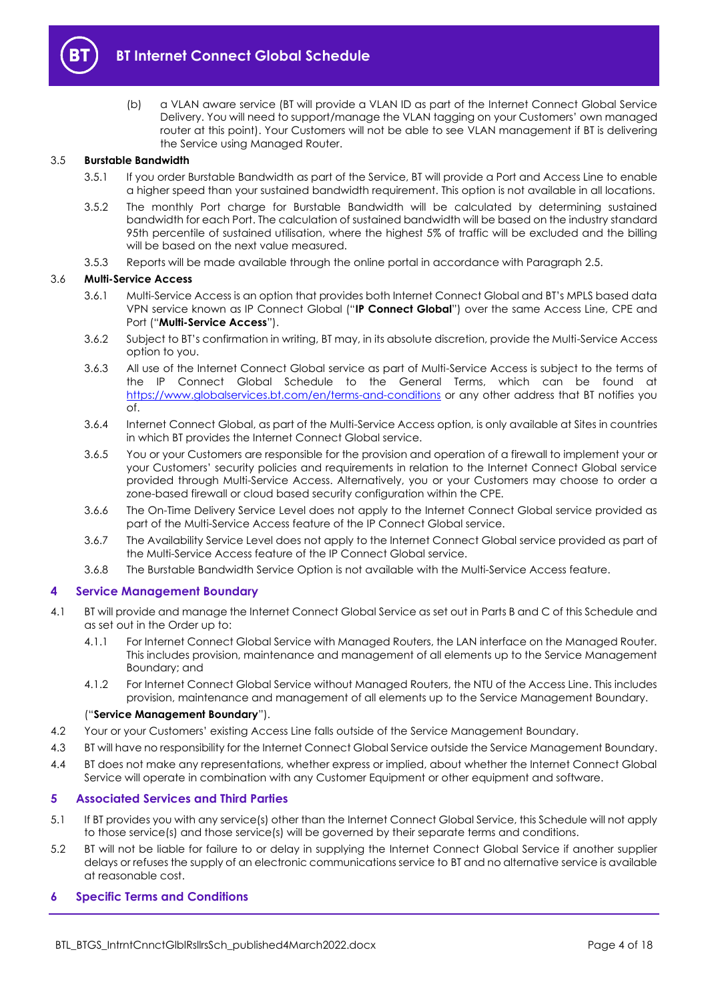

(b) a VLAN aware service (BT will provide a VLAN ID as part of the Internet Connect Global Service Delivery. You will need to support/manage the VLAN tagging on your Customers' own managed router at this point). Your Customers will not be able to see VLAN management if BT is delivering the Service using Managed Router.

#### <span id="page-3-3"></span>3.5 **Burstable Bandwidth**

- 3.5.1 If you order Burstable Bandwidth as part of the Service, BT will provide a Port and Access Line to enable a higher speed than your sustained bandwidth requirement. This option is not available in all locations.
- 3.5.2 The monthly Port charge for Burstable Bandwidth will be calculated by determining sustained bandwidth for each Port. The calculation of sustained bandwidth will be based on the industry standard 95th percentile of sustained utilisation, where the highest 5% of traffic will be excluded and the billing will be based on the next value measured.
- 3.5.3 Reports will be made available through the online portal in accordance with Paragraph [2.5.](#page-1-4)

#### <span id="page-3-4"></span>3.6 **Multi-Service Access**

- 3.6.1 Multi-Service Access is an option that provides both Internet Connect Global and BT's MPLS based data VPN service known as IP Connect Global ("**IP Connect Global**") over the same Access Line, CPE and Port ("**Multi-Service Access**").
- 3.6.2 Subject to BT's confirmation in writing, BT may, in its absolute discretion, provide the Multi-Service Access option to you.
- 3.6.3 All use of the Internet Connect Global service as part of Multi-Service Access is subject to the terms of the IP Connect Global Schedule to the General Terms, which can be found at <https://www.globalservices.bt.com/en/terms-and-conditions> or any other address that BT notifies you of.
- 3.6.4 Internet Connect Global, as part of the Multi-Service Access option, is only available at Sites in countries in which BT provides the Internet Connect Global service.
- 3.6.5 You or your Customers are responsible for the provision and operation of a firewall to implement your or your Customers' security policies and requirements in relation to the Internet Connect Global service provided through Multi-Service Access. Alternatively, you or your Customers may choose to order a zone-based firewall or cloud based security configuration within the CPE.
- 3.6.6 The On-Time Delivery Service Level does not apply to the Internet Connect Global service provided as part of the Multi-Service Access feature of the IP Connect Global service.
- 3.6.7 The Availability Service Level does not apply to the Internet Connect Global service provided as part of the Multi-Service Access feature of the IP Connect Global service.
- 3.6.8 The Burstable Bandwidth Service Option is not available with the Multi-Service Access feature.

#### <span id="page-3-0"></span>**4 Service Management Boundary**

- <span id="page-3-5"></span>4.1 BT will provide and manage the Internet Connect Global Service as set out in Parts B and C of this Schedule and as set out in the Order up to:
	- 4.1.1 For Internet Connect Global Service with Managed Routers, the LAN interface on the Managed Router. This includes provision, maintenance and management of all elements up to the Service Management Boundary; and
	- 4.1.2 For Internet Connect Global Service without Managed Routers, the NTU of the Access Line. This includes provision, maintenance and management of all elements up to the Service Management Boundary.

#### ("**Service Management Boundary**").

- 4.2 Your or your Customers' existing Access Line falls outside of the Service Management Boundary.
- 4.3 BT will have no responsibility for the Internet Connect Global Service outside the Service Management Boundary.
- 4.4 BT does not make any representations, whether express or implied, about whether the Internet Connect Global Service will operate in combination with any Customer Equipment or other equipment and software.

#### <span id="page-3-1"></span>**5 Associated Services and Third Parties**

- 5.1 If BT provides you with any service(s) other than the Internet Connect Global Service, this Schedule will not apply to those service(s) and those service(s) will be governed by their separate terms and conditions.
- 5.2 BT will not be liable for failure to or delay in supplying the Internet Connect Global Service if another supplier delays or refuses the supply of an electronic communications service to BT and no alternative service is available at reasonable cost.

#### <span id="page-3-2"></span>**6 Specific Terms and Conditions**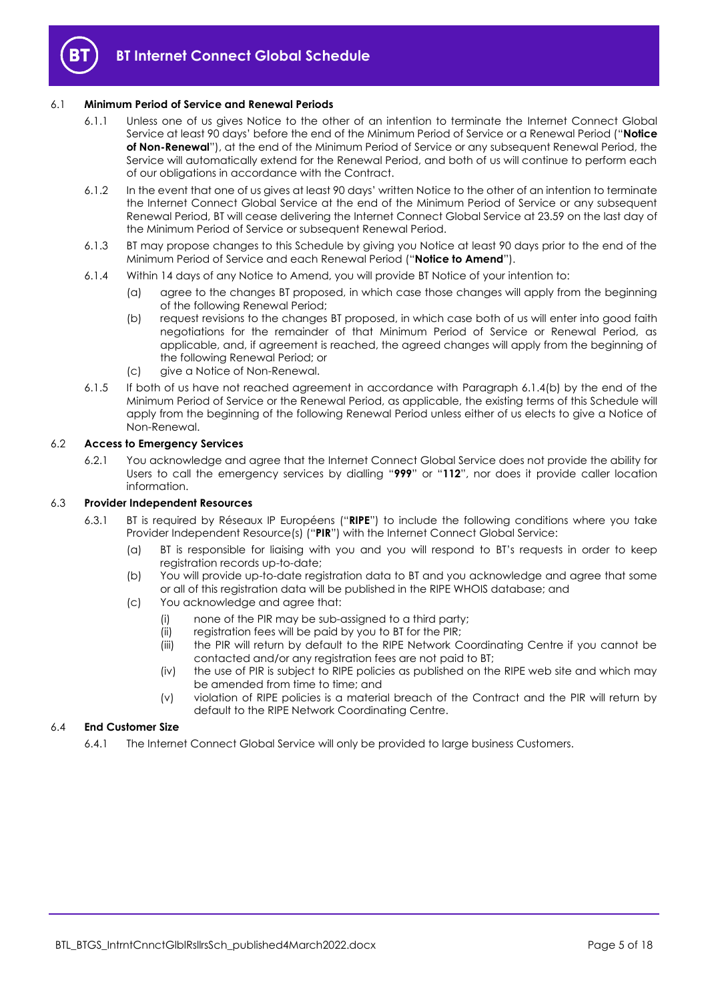

#### 6.1 **Minimum Period of Service and Renewal Periods**

- 6.1.1 Unless one of us gives Notice to the other of an intention to terminate the Internet Connect Global Service at least 90 days' before the end of the Minimum Period of Service or a Renewal Period ("**Notice of Non-Renewal**"), at the end of the Minimum Period of Service or any subsequent Renewal Period, the Service will automatically extend for the Renewal Period, and both of us will continue to perform each of our obligations in accordance with the Contract.
- 6.1.2 In the event that one of us gives at least 90 days' written Notice to the other of an intention to terminate the Internet Connect Global Service at the end of the Minimum Period of Service or any subsequent Renewal Period, BT will cease delivering the Internet Connect Global Service at 23.59 on the last day of the Minimum Period of Service or subsequent Renewal Period.
- 6.1.3 BT may propose changes to this Schedule by giving you Notice at least 90 days prior to the end of the Minimum Period of Service and each Renewal Period ("**Notice to Amend**").
- <span id="page-4-0"></span>6.1.4 Within 14 days of any Notice to Amend, you will provide BT Notice of your intention to:
	- (a) agree to the changes BT proposed, in which case those changes will apply from the beginning of the following Renewal Period;
	- (b) request revisions to the changes BT proposed, in which case both of us will enter into good faith negotiations for the remainder of that Minimum Period of Service or Renewal Period, as applicable, and, if agreement is reached, the agreed changes will apply from the beginning of the following Renewal Period; or
	- (c) give a Notice of Non-Renewal.
- 6.1.5 If both of us have not reached agreement in accordance with Paragraph [6.1.4\(b\)](#page-4-0) by the end of the Minimum Period of Service or the Renewal Period, as applicable, the existing terms of this Schedule will apply from the beginning of the following Renewal Period unless either of us elects to give a Notice of Non-Renewal.

#### 6.2 **Access to Emergency Services**

6.2.1 You acknowledge and agree that the Internet Connect Global Service does not provide the ability for Users to call the emergency services by dialling "**999**" or "**112**", nor does it provide caller location information.

#### <span id="page-4-1"></span>6.3 **Provider Independent Resources**

- 6.3.1 BT is required by Réseaux IP Européens ("**RIPE**") to include the following conditions where you take Provider Independent Resource(s) ("**PIR**") with the Internet Connect Global Service:
	- (a) BT is responsible for liaising with you and you will respond to BT's requests in order to keep registration records up-to-date;
	- (b) You will provide up-to-date registration data to BT and you acknowledge and agree that some or all of this registration data will be published in the RIPE WHOIS database; and
	- (c) You acknowledge and agree that:
		- (i) none of the PIR may be sub-assigned to a third party;
		- (ii) registration fees will be paid by you to BT for the PIR;
		- (iii) the PIR will return by default to the RIPE Network Coordinating Centre if you cannot be contacted and/or any registration fees are not paid to BT;
		- (iv) the use of PIR is subject to RIPE policies as published on the RIPE web site and which may be amended from time to time; and
		- (v) violation of RIPE policies is a material breach of the Contract and the PIR will return by default to the RIPE Network Coordinating Centre.

## 6.4 **End Customer Size**

6.4.1 The Internet Connect Global Service will only be provided to large business Customers.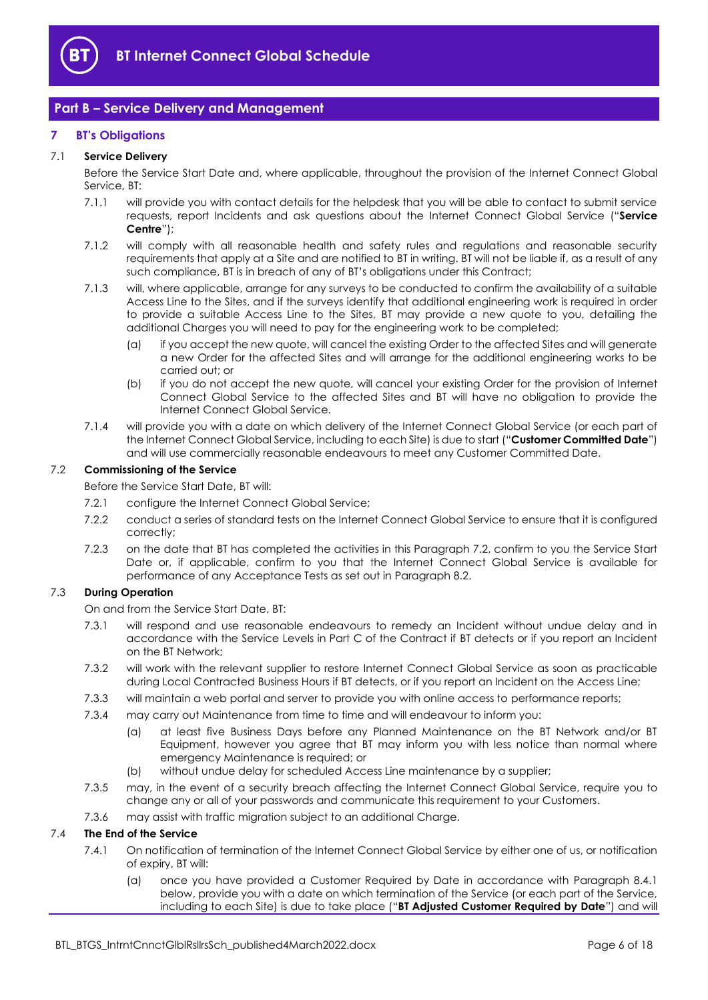

# <span id="page-5-0"></span>**Part B – Service Delivery and Management**

## <span id="page-5-1"></span>**7 BT's Obligations**

## 7.1 **Service Delivery**

Before the Service Start Date and, where applicable, throughout the provision of the Internet Connect Global Service, BT:

- <span id="page-5-9"></span>7.1.1 will provide you with contact details for the helpdesk that you will be able to contact to submit service requests, report Incidents and ask questions about the Internet Connect Global Service ("**Service Centre**");
- 7.1.2 will comply with all reasonable health and safety rules and regulations and reasonable security requirements that apply at a Site and are notified to BT in writing. BT will not be liable if, as a result of any such compliance, BT is in breach of any of BT's obligations under this Contract;
- 7.1.3 will, where applicable, arrange for any surveys to be conducted to confirm the availability of a suitable Access Line to the Sites, and if the surveys identify that additional engineering work is required in order to provide a suitable Access Line to the Sites, BT may provide a new quote to you, detailing the additional Charges you will need to pay for the engineering work to be completed;
	- (a) if you accept the new quote, will cancel the existing Order to the affected Sites and will generate a new Order for the affected Sites and will arrange for the additional engineering works to be carried out; or
	- (b) if you do not accept the new quote, will cancel your existing Order for the provision of Internet Connect Global Service to the affected Sites and BT will have no obligation to provide the Internet Connect Global Service.
- <span id="page-5-4"></span>7.1.4 will provide you with a date on which delivery of the Internet Connect Global Service (or each part of the Internet Connect Global Service, including to each Site) is due to start ("**Customer Committed Date**") and will use commercially reasonable endeavours to meet any Customer Committed Date.

#### <span id="page-5-5"></span><span id="page-5-2"></span>7.2 **Commissioning of the Service**

Before the Service Start Date, BT will:

- 7.2.1 configure the Internet Connect Global Service;
- 7.2.2 conduct a series of standard tests on the Internet Connect Global Service to ensure that it is configured correctly;
- <span id="page-5-3"></span>7.2.3 on the date that BT has completed the activities in this Paragraph [7.2,](#page-5-2) confirm to you the Service Start Date or, if applicable, confirm to you that the Internet Connect Global Service is available for performance of any Acceptance Tests as set out in Paragraph [8.2.](#page-6-1)

# <span id="page-5-6"></span>7.3 **During Operation**

On and from the Service Start Date, BT:

- 7.3.1 will respond and use reasonable endeavours to remedy an Incident without undue delay and in accordance with the Service Levels in Part C of the Contract if BT detects or if you report an Incident on the BT Network;
- <span id="page-5-7"></span>7.3.2 will work with the relevant supplier to restore Internet Connect Global Service as soon as practicable during Local Contracted Business Hours if BT detects, or if you report an Incident on the Access Line;
- 7.3.3 will maintain a web portal and server to provide you with online access to performance reports;
- 7.3.4 may carry out Maintenance from time to time and will endeavour to inform you:
	- (a) at least five Business Days before any Planned Maintenance on the BT Network and/or BT Equipment, however you agree that BT may inform you with less notice than normal where emergency Maintenance is required; or
	- (b) without undue delay for scheduled Access Line maintenance by a supplier;
- 7.3.5 may, in the event of a security breach affecting the Internet Connect Global Service, require you to change any or all of your passwords and communicate this requirement to your Customers.
- 7.3.6 may assist with traffic migration subject to an additional Charge.

#### <span id="page-5-8"></span>7.4 **The End of the Service**

- 7.4.1 On notification of termination of the Internet Connect Global Service by either one of us, or notification of expiry, BT will:
	- (a) once you have provided a Customer Required by Date in accordance with Paragraph [8.4.1](#page-8-2) below, provide you with a date on which termination of the Service (or each part of the Service, including to each Site) is due to take place ("**BT Adjusted Customer Required by Date**") and will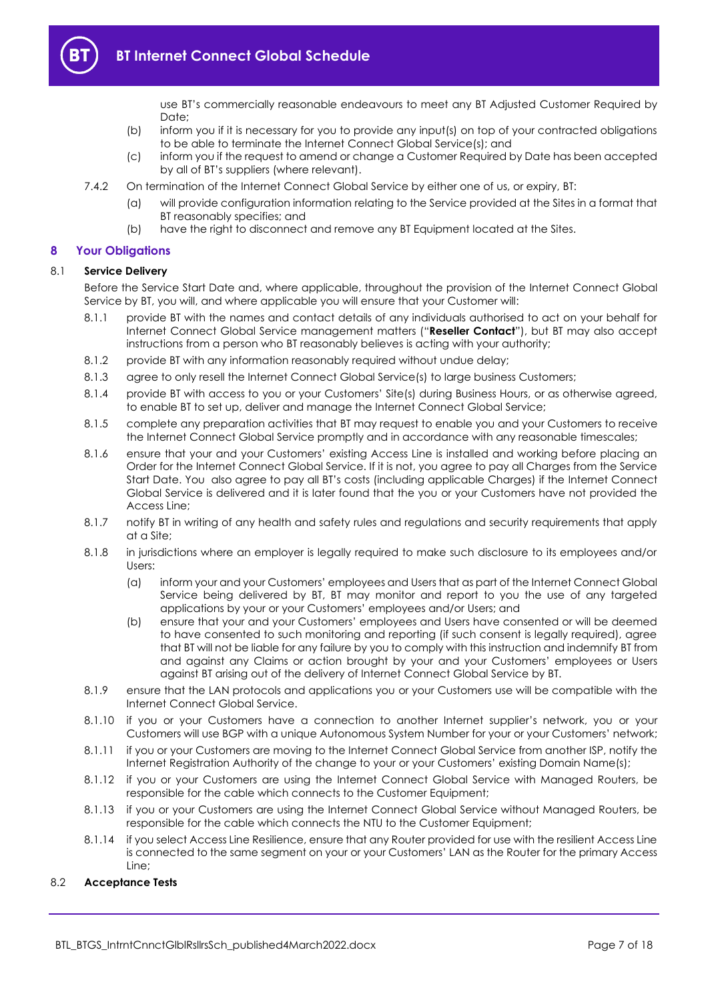use BT's commercially reasonable endeavours to meet any BT Adjusted Customer Required by Date;

- (b) inform you if it is necessary for you to provide any input(s) on top of your contracted obligations to be able to terminate the Internet Connect Global Service(s); and
- (c) inform you if the request to amend or change a Customer Required by Date has been accepted by all of BT's suppliers (where relevant).
- 7.4.2 On termination of the Internet Connect Global Service by either one of us, or expiry, BT:
	- (a) will provide configuration information relating to the Service provided at the Sites in a format that BT reasonably specifies; and
	- (b) have the right to disconnect and remove any BT Equipment located at the Sites.

#### <span id="page-6-0"></span>**8 Your Obligations**

#### 8.1 **Service Delivery**

Before the Service Start Date and, where applicable, throughout the provision of the Internet Connect Global Service by BT, you will, and where applicable you will ensure that your Customer will:

- <span id="page-6-2"></span>8.1.1 provide BT with the names and contact details of any individuals authorised to act on your behalf for Internet Connect Global Service management matters ("**Reseller Contact**"), but BT may also accept instructions from a person who BT reasonably believes is acting with your authority;
- 8.1.2 provide BT with any information reasonably required without undue delay;
- 8.1.3 agree to only resell the Internet Connect Global Service(s) to large business Customers;
- 8.1.4 provide BT with access to you or your Customers' Site(s) during Business Hours, or as otherwise agreed, to enable BT to set up, deliver and manage the Internet Connect Global Service;
- 8.1.5 complete any preparation activities that BT may request to enable you and your Customers to receive the Internet Connect Global Service promptly and in accordance with any reasonable timescales;
- 8.1.6 ensure that your and your Customers' existing Access Line is installed and working before placing an Order for the Internet Connect Global Service. If it is not, you agree to pay all Charges from the Service Start Date. You also agree to pay all BT's costs (including applicable Charges) if the Internet Connect Global Service is delivered and it is later found that the you or your Customers have not provided the Access Line;
- 8.1.7 notify BT in writing of any health and safety rules and regulations and security requirements that apply at a Site;
- 8.1.8 in jurisdictions where an employer is legally required to make such disclosure to its employees and/or Users:
	- (a) inform your and your Customers' employees and Users that as part of the Internet Connect Global Service being delivered by BT, BT may monitor and report to you the use of any targeted applications by your or your Customers' employees and/or Users; and
	- (b) ensure that your and your Customers' employees and Users have consented or will be deemed to have consented to such monitoring and reporting (if such consent is legally required), agree that BT will not be liable for any failure by you to comply with this instruction and indemnify BT from and against any Claims or action brought by your and your Customers' employees or Users against BT arising out of the delivery of Internet Connect Global Service by BT.
- 8.1.9 ensure that the LAN protocols and applications you or your Customers use will be compatible with the Internet Connect Global Service.
- 8.1.10 if you or your Customers have a connection to another Internet supplier's network, you or your Customers will use BGP with a unique Autonomous System Number for your or your Customers' network;
- 8.1.11 if you or your Customers are moving to the Internet Connect Global Service from another ISP, notify the Internet Registration Authority of the change to your or your Customers' existing Domain Name(s);
- 8.1.12 if you or your Customers are using the Internet Connect Global Service with Managed Routers, be responsible for the cable which connects to the Customer Equipment;
- 8.1.13 if you or your Customers are using the Internet Connect Global Service without Managed Routers, be responsible for the cable which connects the NTU to the Customer Equipment;
- 8.1.14 if you select Access Line Resilience, ensure that any Router provided for use with the resilient Access Line is connected to the same segment on your or your Customers' LAN as the Router for the primary Access Line;

#### <span id="page-6-1"></span>8.2 **Acceptance Tests**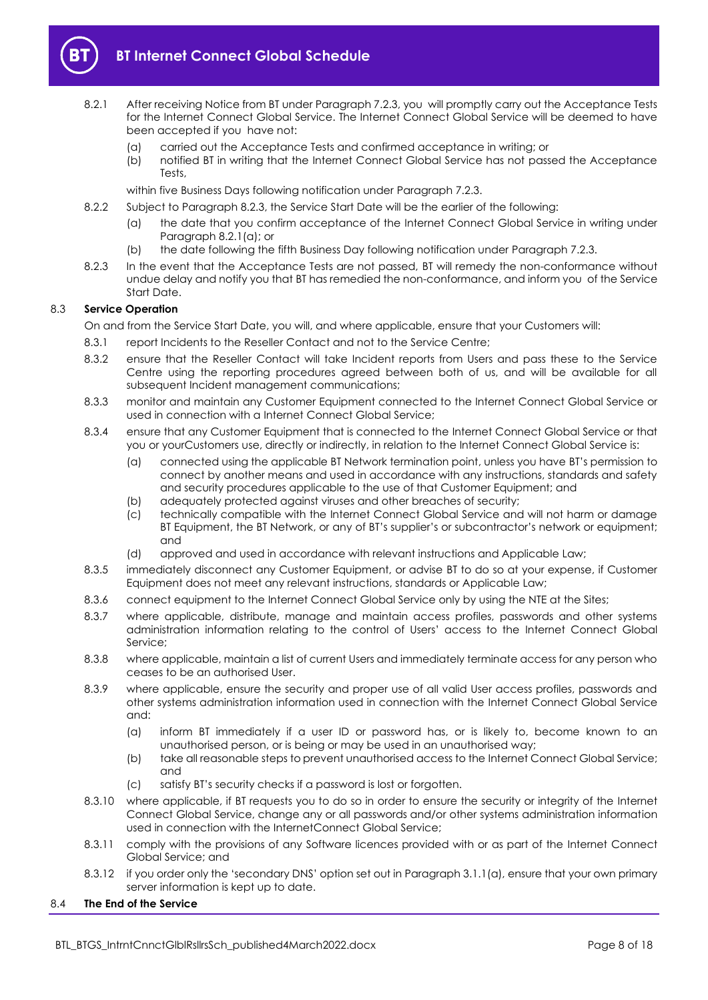

- <span id="page-7-1"></span>8.2.1 After receiving Notice from BT under Paragraph [7.2.3,](#page-5-3) you will promptly carry out the Acceptance Tests for the Internet Connect Global Service. The Internet Connect Global Service will be deemed to have been accepted if you have not:
	- (a) carried out the Acceptance Tests and confirmed acceptance in writing; or
	- (b) notified BT in writing that the Internet Connect Global Service has not passed the Acceptance Tests,

within five Business Days following notification under Paragraph [7.2.3.](#page-5-3)

- 8.2.2 Subject to Paragraph [8.2.3,](#page-7-0) the Service Start Date will be the earlier of the following:
	- (a) the date that you confirm acceptance of the Internet Connect Global Service in writing under Paragraph [8.2.1\(a\);](#page-7-1) or
	- (b) the date following the fifth Business Day following notification under Paragraph [7.2.3.](#page-5-3)
- <span id="page-7-0"></span>8.2.3 In the event that the Acceptance Tests are not passed, BT will remedy the non-conformance without undue delay and notify you that BT has remedied the non-conformance, and inform you of the Service Start Date.

## 8.3 **Service Operation**

On and from the Service Start Date, you will, and where applicable, ensure that your Customers will:

- 8.3.1 report Incidents to the Reseller Contact and not to the Service Centre;
- 8.3.2 ensure that the Reseller Contact will take Incident reports from Users and pass these to the Service Centre using the reporting procedures agreed between both of us, and will be available for all subsequent Incident management communications;
- 8.3.3 monitor and maintain any Customer Equipment connected to the Internet Connect Global Service or used in connection with a Internet Connect Global Service;
- 8.3.4 ensure that any Customer Equipment that is connected to the Internet Connect Global Service or that you or yourCustomers use, directly or indirectly, in relation to the Internet Connect Global Service is:
	- (a) connected using the applicable BT Network termination point, unless you have BT's permission to connect by another means and used in accordance with any instructions, standards and safety and security procedures applicable to the use of that Customer Equipment; and
	- (b) adequately protected against viruses and other breaches of security;
	- (c) technically compatible with the Internet Connect Global Service and will not harm or damage BT Equipment, the BT Network, or any of BT's supplier's or subcontractor's network or equipment; and
	- (d) approved and used in accordance with relevant instructions and Applicable Law;
- 8.3.5 immediately disconnect any Customer Equipment, or advise BT to do so at your expense, if Customer Equipment does not meet any relevant instructions, standards or Applicable Law;
- 8.3.6 connect equipment to the Internet Connect Global Service only by using the NTE at the Sites;
- 8.3.7 where applicable, distribute, manage and maintain access profiles, passwords and other systems administration information relating to the control of Users' access to the Internet Connect Global Service;
- 8.3.8 where applicable, maintain a list of current Users and immediately terminate access for any person who ceases to be an authorised User.
- 8.3.9 where applicable, ensure the security and proper use of all valid User access profiles, passwords and other systems administration information used in connection with the Internet Connect Global Service and:
	- (a) inform BT immediately if a user ID or password has, or is likely to, become known to an unauthorised person, or is being or may be used in an unauthorised way;
	- (b) take all reasonable steps to prevent unauthorised access to the Internet Connect Global Service; and
	- (c) satisfy BT's security checks if a password is lost or forgotten.
- 8.3.10 where applicable, if BT requests you to do so in order to ensure the security or integrity of the Internet Connect Global Service, change any or all passwords and/or other systems administration information used in connection with the InternetConnect Global Service;
- 8.3.11 comply with the provisions of any Software licences provided with or as part of the Internet Connect Global Service; and
- 8.3.12 if you order only the 'secondary DNS' option set out in Paragraph [3.1.1\(a\),](#page-2-1) ensure that your own primary server information is kept up to date.

#### 8.4 **The End of the Service**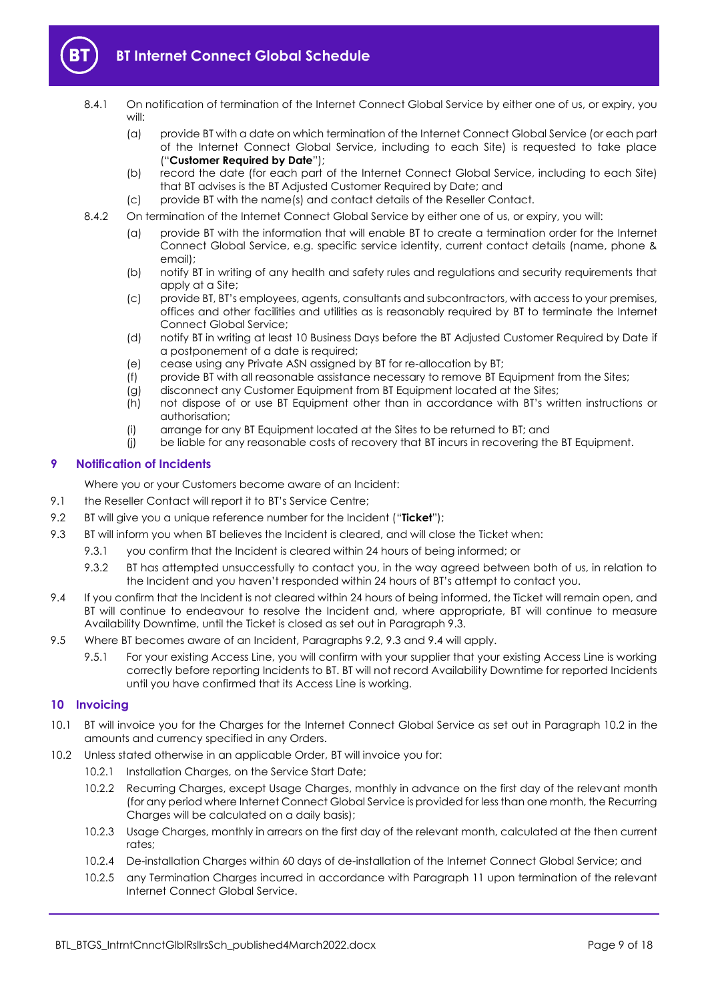

- <span id="page-8-7"></span><span id="page-8-2"></span>8.4.1 On notification of termination of the Internet Connect Global Service by either one of us, or expiry, you will:
	- (a) provide BT with a date on which termination of the Internet Connect Global Service (or each part of the Internet Connect Global Service, including to each Site) is requested to take place ("**Customer Required by Date**");
	- (b) record the date (for each part of the Internet Connect Global Service, including to each Site) that BT advises is the BT Adjusted Customer Required by Date; and
	- (c) provide BT with the name(s) and contact details of the Reseller Contact.
- 8.4.2 On termination of the Internet Connect Global Service by either one of us, or expiry, you will:
	- (a) provide BT with the information that will enable BT to create a termination order for the Internet Connect Global Service, e.g. specific service identity, current contact details (name, phone & email);
	- (b) notify BT in writing of any health and safety rules and regulations and security requirements that apply at a Site;
	- (c) provide BT, BT's employees, agents, consultants and subcontractors, with access to your premises, offices and other facilities and utilities as is reasonably required by BT to terminate the Internet Connect Global Service;
	- (d) notify BT in writing at least 10 Business Days before the BT Adjusted Customer Required by Date if a postponement of a date is required;
	- (e) cease using any Private ASN assigned by BT for re-allocation by BT;
	- (f) provide BT with all reasonable assistance necessary to remove BT Equipment from the Sites;
	- (g) disconnect any Customer Equipment from BT Equipment located at the Sites;
	- (h) not dispose of or use BT Equipment other than in accordance with BT's written instructions or authorisation;
	- (i) arrange for any BT Equipment located at the Sites to be returned to BT; and
	- (j) be liable for any reasonable costs of recovery that BT incurs in recovering the BT Equipment.

# <span id="page-8-0"></span>**9 Notification of Incidents**

Where you or your Customers become aware of an Incident:

- 9.1 the Reseller Contact will report it to BT's Service Centre;
- <span id="page-8-4"></span>9.2 BT will give you a unique reference number for the Incident ("**Ticket**");
- <span id="page-8-3"></span>9.3 BT will inform you when BT believes the Incident is cleared, and will close the Ticket when:
	- 9.3.1 you confirm that the Incident is cleared within 24 hours of being informed; or
	- 9.3.2 BT has attempted unsuccessfully to contact you, in the way agreed between both of us, in relation to the Incident and you haven't responded within 24 hours of BT's attempt to contact you.
- <span id="page-8-5"></span>9.4 If you confirm that the Incident is not cleared within 24 hours of being informed, the Ticket will remain open, and BT will continue to endeavour to resolve the Incident and, where appropriate, BT will continue to measure Availability Downtime, until the Ticket is closed as set out in Paragraph [9.3.](#page-8-3)
- 9.5 Where BT becomes aware of an Incident, Paragraphs [9.2,](#page-8-4) [9.3](#page-8-3) and [9.4](#page-8-5) will apply.
	- 9.5.1 For your existing Access Line, you will confirm with your supplier that your existing Access Line is working correctly before reporting Incidents to BT. BT will not record Availability Downtime for reported Incidents until you have confirmed that its Access Line is working.

# <span id="page-8-1"></span>**10 Invoicing**

- 10.1 BT will invoice you for the Charges for the Internet Connect Global Service as set out in Paragraph [10.2](#page-8-6) in the amounts and currency specified in any Orders.
- <span id="page-8-6"></span>10.2 Unless stated otherwise in an applicable Order, BT will invoice you for:
	- 10.2.1 Installation Charges, on the Service Start Date;
	- 10.2.2 Recurring Charges, except Usage Charges, monthly in advance on the first day of the relevant month (for any period where Internet Connect Global Service is provided for less than one month, the Recurring Charges will be calculated on a daily basis);
	- 10.2.3 Usage Charges, monthly in arrears on the first day of the relevant month, calculated at the then current rates;
	- 10.2.4 De-installation Charges within 60 days of de-installation of the Internet Connect Global Service; and
	- 10.2.5 any Termination Charges incurred in accordance with Paragraph [11](#page-9-0) upon termination of the relevant Internet Connect Global Service.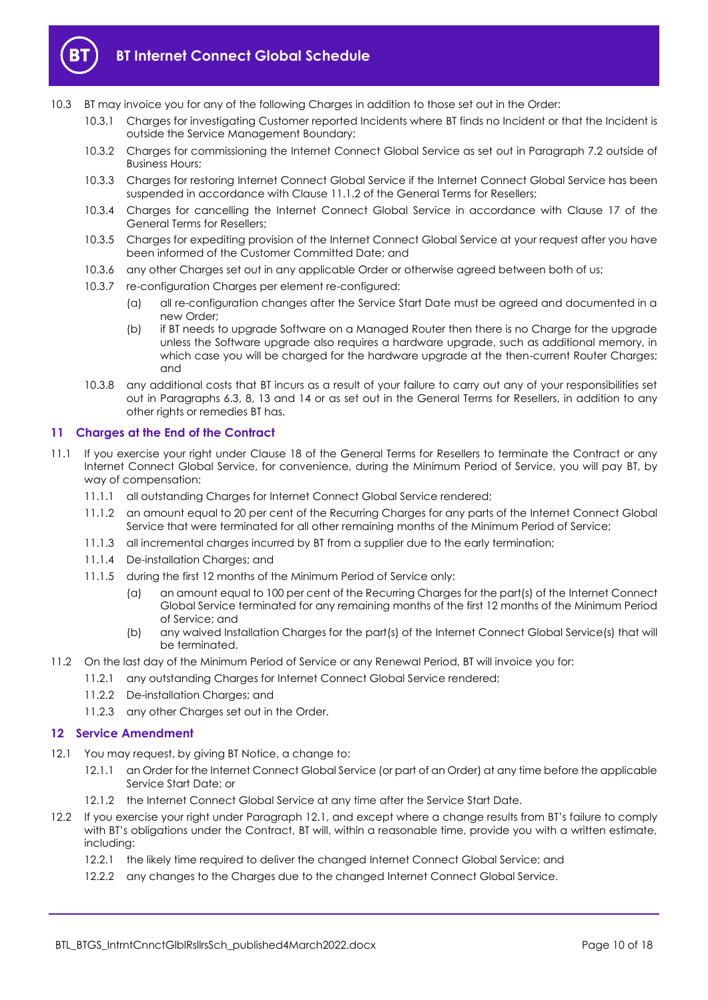

- 10.3 BT may invoice you for any of the following Charges in addition to those set out in the Order:
	- 10.3.1 Charges for investigating Customer reported Incidents where BT finds no Incident or that the Incident is outside the Service Management Boundary;
	- 10.3.2 Charges for commissioning the Internet Connect Global Service as set out in Paragraph [7.2](#page-5-2) outside of Business Hours;
	- 10.3.3 Charges for restoring Internet Connect Global Service if the Internet Connect Global Service has been suspended in accordance with Clause 11.1.2 of the General Terms for Resellers;
	- 10.3.4 Charges for cancelling the Internet Connect Global Service in accordance with Clause 17 of the General Terms for Resellers;
	- 10.3.5 Charges for expediting provision of the Internet Connect Global Service at your request after you have been informed of the Customer Committed Date; and
	- 10.3.6 any other Charges set out in any applicable Order or otherwise agreed between both of us;
	- 10.3.7 re-configuration Charges per element re-configured:
		- (a) all re-configuration changes after the Service Start Date must be agreed and documented in a new Order;
		- (b) if BT needs to upgrade Software on a Managed Router then there is no Charge for the upgrade unless the Software upgrade also requires a hardware upgrade, such as additional memory, in which case you will be charged for the hardware upgrade at the then-current Router Charges; and
	- 10.3.8 any additional costs that BT incurs as a result of your failure to carry out any of your responsibilities set out in Paragraphs [6.3,](#page-4-1) [8,](#page-6-0) [13](#page-10-0) and [14](#page-10-1) or as set out in the General Terms for Resellers, in addition to any other rights or remedies BT has.

# <span id="page-9-0"></span>**11 Charges at the End of the Contract**

- 11.1 If you exercise your right under Clause 18 of the General Terms for Resellers to terminate the Contract or any Internet Connect Global Service, for convenience, during the Minimum Period of Service, you will pay BT, by way of compensation:
	- 11.1.1 all outstanding Charges for Internet Connect Global Service rendered;
	- 11.1.2 an amount equal to 20 per cent of the Recurring Charges for any parts of the Internet Connect Global Service that were terminated for all other remaining months of the Minimum Period of Service;
	- 11.1.3 all incremental charges incurred by BT from a supplier due to the early termination;
	- 11.1.4 De-installation Charges; and
	- 11.1.5 during the first 12 months of the Minimum Period of Service only:
		- (a) an amount equal to 100 per cent of the Recurring Charges for the part(s) of the Internet Connect Global Service terminated for any remaining months of the first 12 months of the Minimum Period of Service; and
		- (b) any waived Installation Charges for the part(s) of the Internet Connect Global Service(s) that will be terminated.
- 11.2 On the last day of the Minimum Period of Service or any Renewal Period, BT will invoice you for:
	- 11.2.1 any outstanding Charges for Internet Connect Global Service rendered;
	- 11.2.2 De-installation Charges; and
	- 11.2.3 any other Charges set out in the Order.

#### <span id="page-9-1"></span>**12 Service Amendment**

- <span id="page-9-2"></span>12.1 You may request, by giving BT Notice, a change to:
	- 12.1.1 an Order for the Internet Connect Global Service (or part of an Order) at any time before the applicable Service Start Date; or
	- 12.1.2 the Internet Connect Global Service at any time after the Service Start Date.
- 12.2 If you exercise your right under Paragraph [12.1,](#page-9-2) and except where a change results from BT's failure to comply with BT's obligations under the Contract, BT will, within a reasonable time, provide you with a written estimate, including:
	- 12.2.1 the likely time required to deliver the changed Internet Connect Global Service; and
	- 12.2.2 any changes to the Charges due to the changed Internet Connect Global Service.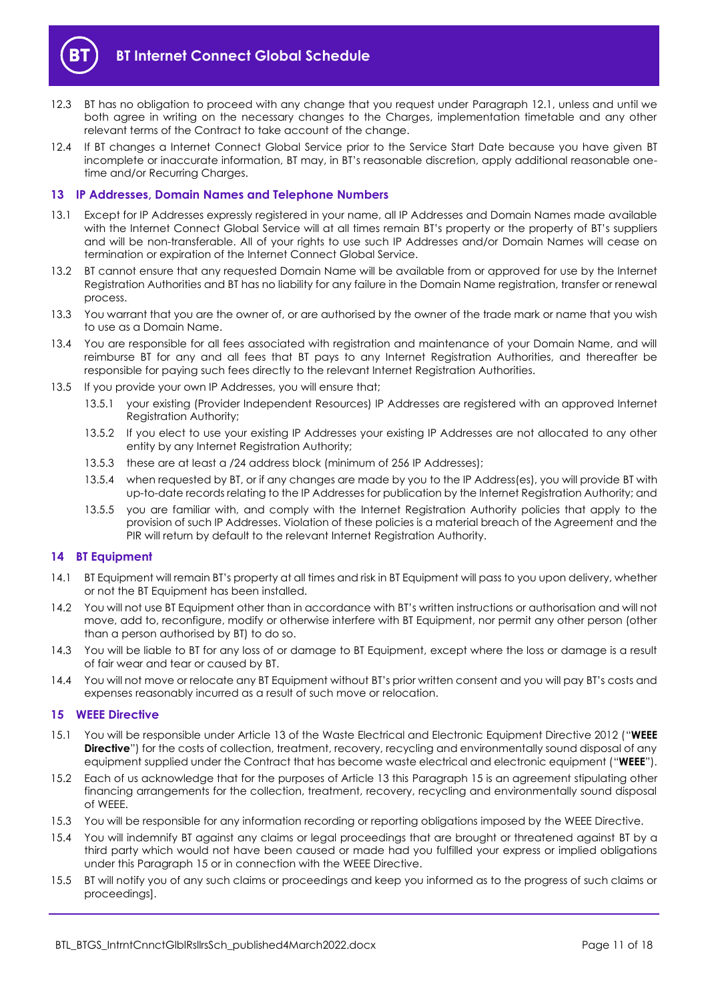

- 12.3 BT has no obligation to proceed with any change that you request under Paragraph [12.1,](#page-9-2) unless and until we both agree in writing on the necessary changes to the Charges, implementation timetable and any other relevant terms of the Contract to take account of the change.
- 12.4 If BT changes a Internet Connect Global Service prior to the Service Start Date because you have given BT incomplete or inaccurate information, BT may, in BT's reasonable discretion, apply additional reasonable onetime and/or Recurring Charges.

## <span id="page-10-0"></span>**13 IP Addresses, Domain Names and Telephone Numbers**

- 13.1 Except for IP Addresses expressly registered in your name, all IP Addresses and Domain Names made available with the Internet Connect Global Service will at all times remain BT's property or the property of BT's suppliers and will be non-transferable. All of your rights to use such IP Addresses and/or Domain Names will cease on termination or expiration of the Internet Connect Global Service.
- 13.2 BT cannot ensure that any requested Domain Name will be available from or approved for use by the Internet Registration Authorities and BT has no liability for any failure in the Domain Name registration, transfer or renewal process.
- 13.3 You warrant that you are the owner of, or are authorised by the owner of the trade mark or name that you wish to use as a Domain Name.
- 13.4 You are responsible for all fees associated with registration and maintenance of your Domain Name, and will reimburse BT for any and all fees that BT pays to any Internet Registration Authorities, and thereafter be responsible for paying such fees directly to the relevant Internet Registration Authorities.
- 13.5 If you provide your own IP Addresses, you will ensure that;
	- 13.5.1 your existing (Provider Independent Resources) IP Addresses are registered with an approved Internet Registration Authority;
	- 13.5.2 If you elect to use your existing IP Addresses your existing IP Addresses are not allocated to any other entity by any Internet Registration Authority;
	- 13.5.3 these are at least a /24 address block (minimum of 256 IP Addresses);
	- 13.5.4 when requested by BT, or if any changes are made by you to the IP Address(es), you will provide BT with up-to-date records relating to the IP Addresses for publication by the Internet Registration Authority; and
	- 13.5.5 you are familiar with, and comply with the Internet Registration Authority policies that apply to the provision of such IP Addresses. Violation of these policies is a material breach of the Agreement and the PIR will return by default to the relevant Internet Registration Authority.

#### <span id="page-10-1"></span>**14 BT Equipment**

- 14.1 BT Equipment will remain BT's property at all times and risk in BT Equipment will pass to you upon delivery, whether or not the BT Equipment has been installed.
- 14.2 You will not use BT Equipment other than in accordance with BT's written instructions or authorisation and will not move, add to, reconfigure, modify or otherwise interfere with BT Equipment, nor permit any other person (other than a person authorised by BT) to do so.
- 14.3 You will be liable to BT for any loss of or damage to BT Equipment, except where the loss or damage is a result of fair wear and tear or caused by BT.
- 14.4 You will not move or relocate any BT Equipment without BT's prior written consent and you will pay BT's costs and expenses reasonably incurred as a result of such move or relocation.

#### <span id="page-10-2"></span>**15 WEEE Directive**

- 15.1 You will be responsible under Article 13 of the Waste Electrical and Electronic Equipment Directive 2012 ("**WEEE Directive**") for the costs of collection, treatment, recovery, recycling and environmentally sound disposal of any equipment supplied under the Contract that has become waste electrical and electronic equipment ("**WEEE**").
- 15.2 Each of us acknowledge that for the purposes of Article 13 this Paragraph [15](#page-10-2) is an agreement stipulating other financing arrangements for the collection, treatment, recovery, recycling and environmentally sound disposal of WEEE.
- 15.3 You will be responsible for any information recording or reporting obligations imposed by the WEEE Directive.
- 15.4 You will indemnify BT against any claims or legal proceedings that are brought or threatened against BT by a third party which would not have been caused or made had you fulfilled your express or implied obligations under this Paragraph [15](#page-10-2) or in connection with the WEEE Directive.
- 15.5 BT will notify you of any such claims or proceedings and keep you informed as to the progress of such claims or proceedings].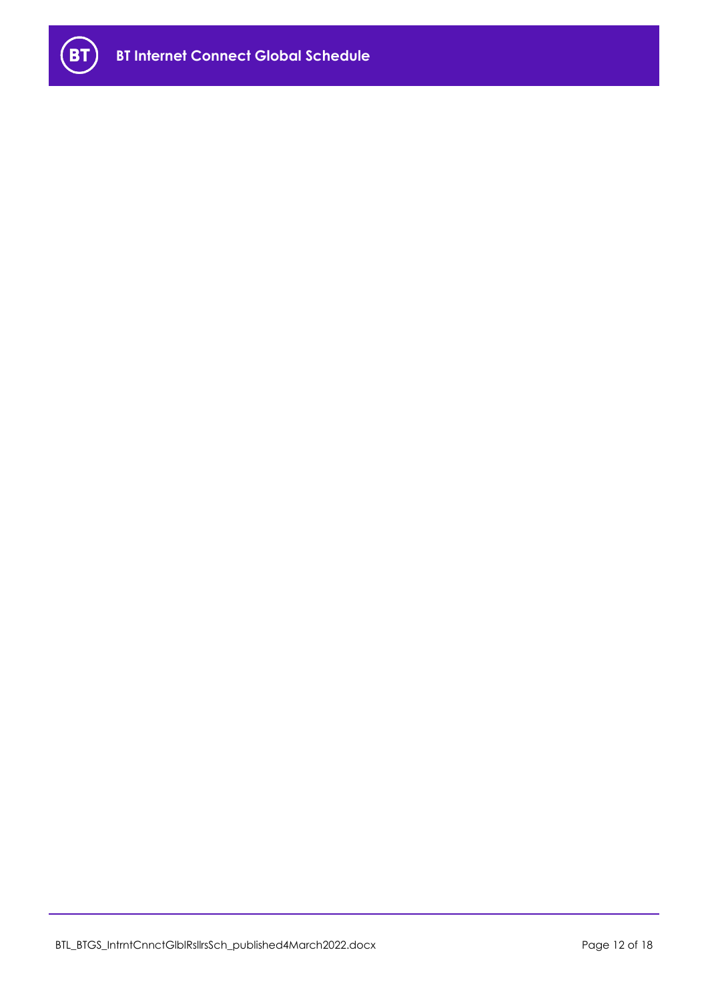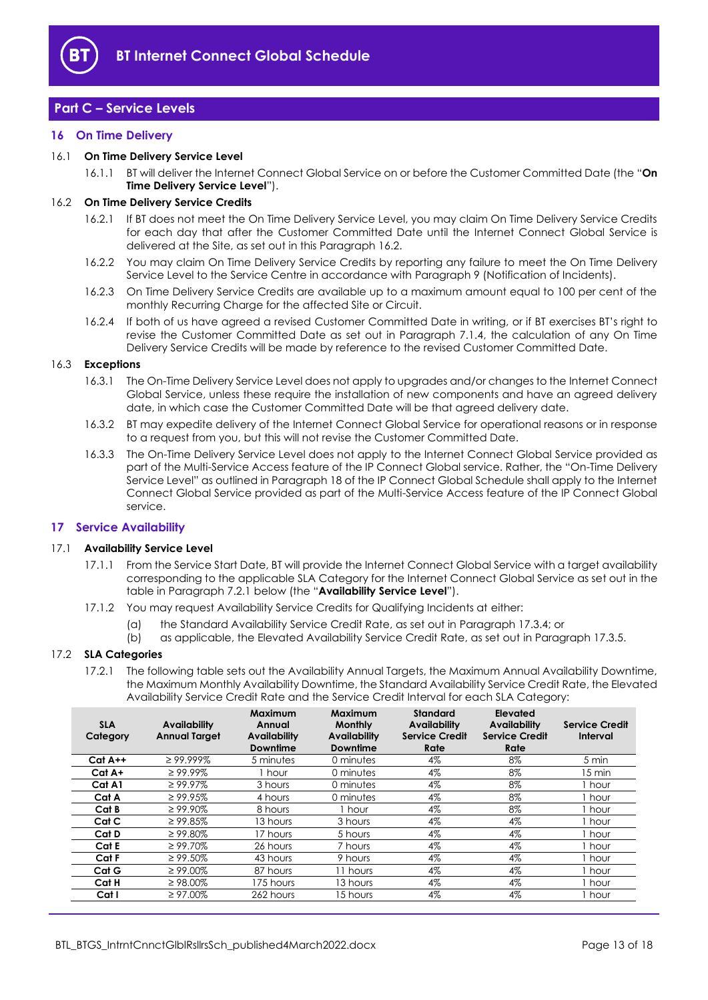

# <span id="page-12-0"></span>**Part C – Service Levels**

#### <span id="page-12-1"></span>**16 On Time Delivery**

#### <span id="page-12-6"></span>16.1 **On Time Delivery Service Level**

16.1.1 BT will deliver the Internet Connect Global Service on or before the Customer Committed Date (the "**On Time Delivery Service Level**").

#### <span id="page-12-3"></span>16.2 **On Time Delivery Service Credits**

- 16.2.1 If BT does not meet the On Time Delivery Service Level, you may claim On Time Delivery Service Credits for each day that after the Customer Committed Date until the Internet Connect Global Service is delivered at the Site, as set out in this Paragraph [16.2.](#page-12-3)
- 16.2.2 You may claim On Time Delivery Service Credits by reporting any failure to meet the On Time Delivery Service Level to the Service Centre in accordance with Paragraph [9](#page-8-0) (Notification of Incidents).
- 16.2.3 On Time Delivery Service Credits are available up to a maximum amount equal to 100 per cent of the monthly Recurring Charge for the affected Site or Circuit.
- 16.2.4 If both of us have agreed a revised Customer Committed Date in writing, or if BT exercises BT's right to revise the Customer Committed Date as set out in Paragraph [7.1.4,](#page-5-4) the calculation of any On Time Delivery Service Credits will be made by reference to the revised Customer Committed Date.

#### 16.3 **Exceptions**

- 16.3.1 The On-Time Delivery Service Level does not apply to upgrades and/or changes to the Internet Connect Global Service, unless these require the installation of new components and have an agreed delivery date, in which case the Customer Committed Date will be that agreed delivery date.
- 16.3.2 BT may expedite delivery of the Internet Connect Global Service for operational reasons or in response to a request from you, but this will not revise the Customer Committed Date.
- 16.3.3 The On-Time Delivery Service Level does not apply to the Internet Connect Global Service provided as part of the Multi-Service Access feature of the IP Connect Global service. Rather, the "On-Time Delivery Service Level" as outlined in Paragraph 18 of the IP Connect Global Schedule shall apply to the Internet Connect Global Service provided as part of the Multi-Service Access feature of the IP Connect Global service.

## <span id="page-12-2"></span>**17 Service Availability**

#### <span id="page-12-4"></span>17.1 **Availability Service Level**

- 17.1.1 From the Service Start Date, BT will provide the Internet Connect Global Service with a target availability corresponding to the applicable SLA Category for the Internet Connect Global Service as set out in the table in Paragraph [7.2.1](#page-5-5) below (the "**Availability Service Level**").
- 17.1.2 You may request Availability Service Credits for Qualifying Incidents at either:
	- (a) the Standard Availability Service Credit Rate, as set out in Paragraph [17.3.4;](#page-13-2) or
	- (b) as applicable, the Elevated Availability Service Credit Rate, as set out in Paragraph [17.3.5.](#page-13-3)

#### <span id="page-12-5"></span>17.2 **SLA Categories**

17.2.1 The following table sets out the Availability Annual Targets, the Maximum Annual Availability Downtime, the Maximum Monthly Availability Downtime, the Standard Availability Service Credit Rate, the Elevated Availability Service Credit Rate and the Service Credit Interval for each SLA Category:

| <b>SLA</b><br>Category | Availability<br><b>Annual Target</b> | Maximum<br>Annual<br><b>Availability</b><br><b>Downtime</b> | <b>Maximum</b><br><b>Monthly</b><br><b>Availability</b><br><b>Downtime</b> | Standard<br><b>Availability</b><br><b>Service Credit</b><br>Rate | Elevated<br><b>Availability</b><br><b>Service Credit</b><br>Rate | <b>Service Credit</b><br>Interval |
|------------------------|--------------------------------------|-------------------------------------------------------------|----------------------------------------------------------------------------|------------------------------------------------------------------|------------------------------------------------------------------|-----------------------------------|
| $Cat A++$              | $\geq$ 99.999%                       | 5 minutes                                                   | 0 minutes                                                                  | 4%                                                               | 8%                                                               | 5 min                             |
| Cat A+                 | $\geq 99.99\%$                       | I hour                                                      | 0 minutes                                                                  | 4%                                                               | 8%                                                               | 15 min                            |
| Cat A1                 | $\geq 99.97\%$                       | 3 hours                                                     | 0 minutes                                                                  | 4%                                                               | 8%                                                               | hour                              |
| Cat A                  | $\geq$ 99.95%                        | 4 hours                                                     | 0 minutes                                                                  | 4%                                                               | 8%                                                               | I hour                            |
| Cat B                  | $\geq 99.90\%$                       | 8 hours                                                     | I hour                                                                     | 4%                                                               | 8%                                                               | , hour                            |
| Cat C                  | $\geq$ 99.85%                        | 13 hours                                                    | 3 hours                                                                    | 4%                                                               | $4\%$                                                            | l hour                            |
| Cat D                  | $\geq 99.80\%$                       | 17 hours                                                    | 5 hours                                                                    | 4%                                                               | 4%                                                               | I hour                            |
| Cat E                  | $\geq 99.70\%$                       | 26 hours                                                    | 7 hours                                                                    | 4%                                                               | 4%                                                               | hour                              |
| Cat F                  | $\geq 99.50\%$                       | 43 hours                                                    | 9 hours                                                                    | 4%                                                               | $4\%$                                                            | I hour                            |
| Cat G                  | $\geq 99.00\%$                       | 87 hours                                                    | 11 hours                                                                   | 4%                                                               | 4%                                                               | i hour                            |
| Cat H                  | $\geq$ 98.00%                        | 175 hours                                                   | 13 hours                                                                   | 4%                                                               | 4%                                                               | hour                              |
| Cat I                  | $\geq 97.00\%$                       | 262 hours                                                   | 15 hours                                                                   | 4%                                                               | 4%                                                               | I hour                            |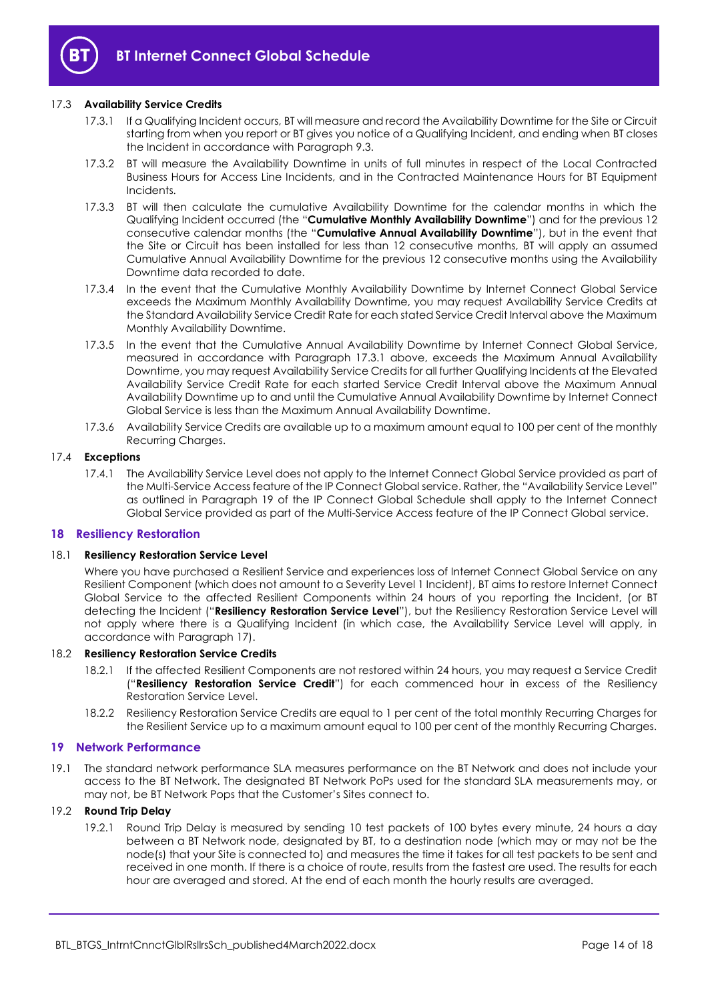

# <span id="page-13-4"></span>17.3 **Availability Service Credits**

- 17.3.1 If a Qualifying Incident occurs, BT will measure and record the Availability Downtime for the Site or Circuit starting from when you report or BT gives you notice of a Qualifying Incident, and ending when BT closes the Incident in accordance with Paragraph [9.3.](#page-8-3)
- 17.3.2 BT will measure the Availability Downtime in units of full minutes in respect of the Local Contracted Business Hours for Access Line Incidents, and in the Contracted Maintenance Hours for BT Equipment Incidents.
- <span id="page-13-5"></span>17.3.3 BT will then calculate the cumulative Availability Downtime for the calendar months in which the Qualifying Incident occurred (the "**Cumulative Monthly Availability Downtime**") and for the previous 12 consecutive calendar months (the "**Cumulative Annual Availability Downtime**"), but in the event that the Site or Circuit has been installed for less than 12 consecutive months, BT will apply an assumed Cumulative Annual Availability Downtime for the previous 12 consecutive months using the Availability Downtime data recorded to date.
- <span id="page-13-2"></span>17.3.4 In the event that the Cumulative Monthly Availability Downtime by Internet Connect Global Service exceeds the Maximum Monthly Availability Downtime, you may request Availability Service Credits at the Standard Availability Service Credit Rate for each stated Service Credit Interval above the Maximum Monthly Availability Downtime.
- <span id="page-13-3"></span>17.3.5 In the event that the Cumulative Annual Availability Downtime by Internet Connect Global Service, measured in accordance with Paragraph [17.3.1](#page-13-4) above, exceeds the Maximum Annual Availability Downtime, you may request Availability Service Credits for all further Qualifying Incidents at the Elevated Availability Service Credit Rate for each started Service Credit Interval above the Maximum Annual Availability Downtime up to and until the Cumulative Annual Availability Downtime by Internet Connect Global Service is less than the Maximum Annual Availability Downtime.
- 17.3.6 Availability Service Credits are available up to a maximum amount equal to 100 per cent of the monthly Recurring Charges.

## 17.4 **Exceptions**

17.4.1 The Availability Service Level does not apply to the Internet Connect Global Service provided as part of the Multi-Service Access feature of the IP Connect Global service. Rather, the "Availability Service Level" as outlined in Paragraph 19 of the IP Connect Global Schedule shall apply to the Internet Connect Global Service provided as part of the Multi-Service Access feature of the IP Connect Global service.

#### <span id="page-13-0"></span>**18 Resiliency Restoration**

#### <span id="page-13-7"></span>18.1 **Resiliency Restoration Service Level**

Where you have purchased a Resilient Service and experiences loss of Internet Connect Global Service on any Resilient Component (which does not amount to a Severity Level 1 Incident), BT aims to restore Internet Connect Global Service to the affected Resilient Components within 24 hours of you reporting the Incident, (or BT detecting the Incident ("**Resiliency Restoration Service Level**"), but the Resiliency Restoration Service Level will not apply where there is a Qualifying Incident (in which case, the Availability Service Level will apply, in accordance with Paragraph [17\)](#page-12-2).

#### <span id="page-13-6"></span>18.2 **Resiliency Restoration Service Credits**

- 18.2.1 If the affected Resilient Components are not restored within 24 hours, you may request a Service Credit ("**Resiliency Restoration Service Credit**") for each commenced hour in excess of the Resiliency Restoration Service Level.
- 18.2.2 Resiliency Restoration Service Credits are equal to 1 per cent of the total monthly Recurring Charges for the Resilient Service up to a maximum amount equal to 100 per cent of the monthly Recurring Charges.

## <span id="page-13-1"></span>**19 Network Performance**

19.1 The standard network performance SLA measures performance on the BT Network and does not include your access to the BT Network. The designated BT Network PoPs used for the standard SLA measurements may, or may not, be BT Network Pops that the Customer's Sites connect to.

# 19.2 **Round Trip Delay**

19.2.1 Round Trip Delay is measured by sending 10 test packets of 100 bytes every minute, 24 hours a day between a BT Network node, designated by BT, to a destination node (which may or may not be the node(s) that your Site is connected to) and measures the time it takes for all test packets to be sent and received in one month. If there is a choice of route, results from the fastest are used. The results for each hour are averaged and stored. At the end of each month the hourly results are averaged.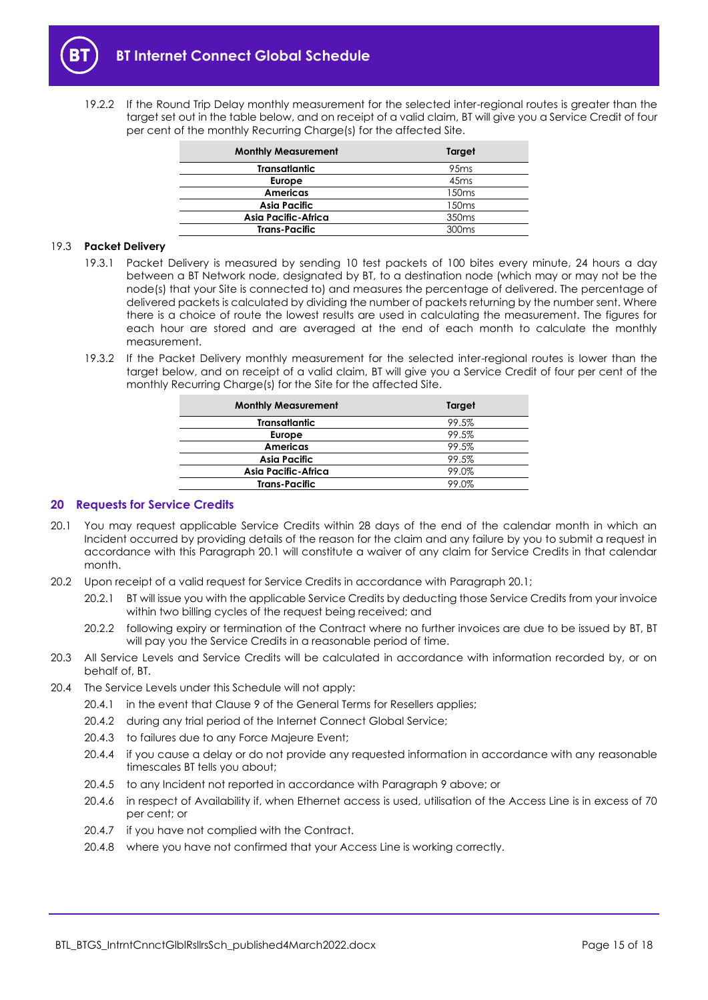19.2.2 If the Round Trip Delay monthly measurement for the selected inter-regional routes is greater than the target set out in the table below, and on receipt of a valid claim, BT will give you a Service Credit of four per cent of the monthly Recurring Charge(s) for the affected Site.

| <b>Monthly Measurement</b> | Target            |
|----------------------------|-------------------|
| <b>Transatiantic</b>       | 95 <sub>ms</sub>  |
| Europe                     | 45 <sub>ms</sub>  |
| Americas                   | 150 <sub>ms</sub> |
| Asia Pacific               | 150 <sub>ms</sub> |
| Asia Pacific-Africa        | 350 <sub>ms</sub> |
| <b>Trans-Pacific</b>       | 300 <sub>ms</sub> |

#### 19.3 **Packet Delivery**

- 19.3.1 Packet Delivery is measured by sending 10 test packets of 100 bites every minute, 24 hours a day between a BT Network node, designated by BT, to a destination node (which may or may not be the node(s) that your Site is connected to) and measures the percentage of delivered. The percentage of delivered packets is calculated by dividing the number of packets returning by the number sent. Where there is a choice of route the lowest results are used in calculating the measurement. The figures for each hour are stored and are averaged at the end of each month to calculate the monthly measurement.
- 19.3.2 If the Packet Delivery monthly measurement for the selected inter-regional routes is lower than the target below, and on receipt of a valid claim, BT will give you a Service Credit of four per cent of the monthly Recurring Charge(s) for the Site for the affected Site.

| Target |
|--------|
| 99.5%  |
| 99.5%  |
| 99.5%  |
| 99.5%  |
| 99.0%  |
| 99.0%  |
|        |

#### <span id="page-14-0"></span>**20 Requests for Service Credits**

- <span id="page-14-1"></span>20.1 You may request applicable Service Credits within 28 days of the end of the calendar month in which an Incident occurred by providing details of the reason for the claim and any failure by you to submit a request in accordance with this Paragraph [20.1](#page-14-1) will constitute a waiver of any claim for Service Credits in that calendar month.
- 20.2 Upon receipt of a valid request for Service Credits in accordance with Paragraph [20.1;](#page-14-1)
	- 20.2.1 BT will issue you with the applicable Service Credits by deducting those Service Credits from your invoice within two billing cycles of the request being received; and
	- 20.2.2 following expiry or termination of the Contract where no further invoices are due to be issued by BT, BT will pay you the Service Credits in a reasonable period of time.
- 20.3 All Service Levels and Service Credits will be calculated in accordance with information recorded by, or on behalf of, BT.
- 20.4 The Service Levels under this Schedule will not apply:
	- 20.4.1 in the event that Clause 9 of the General Terms for Resellers applies;
	- 20.4.2 during any trial period of the Internet Connect Global Service;
	- 20.4.3 to failures due to any Force Majeure Event;
	- 20.4.4 if you cause a delay or do not provide any requested information in accordance with any reasonable timescales BT tells you about;
	- 20.4.5 to any Incident not reported in accordance with Paragraph [9](#page-8-0) above; or
	- 20.4.6 in respect of Availability if, when Ethernet access is used, utilisation of the Access Line is in excess of 70 per cent; or
	- 20.4.7 if you have not complied with the Contract.
	- 20.4.8 where you have not confirmed that your Access Line is working correctly.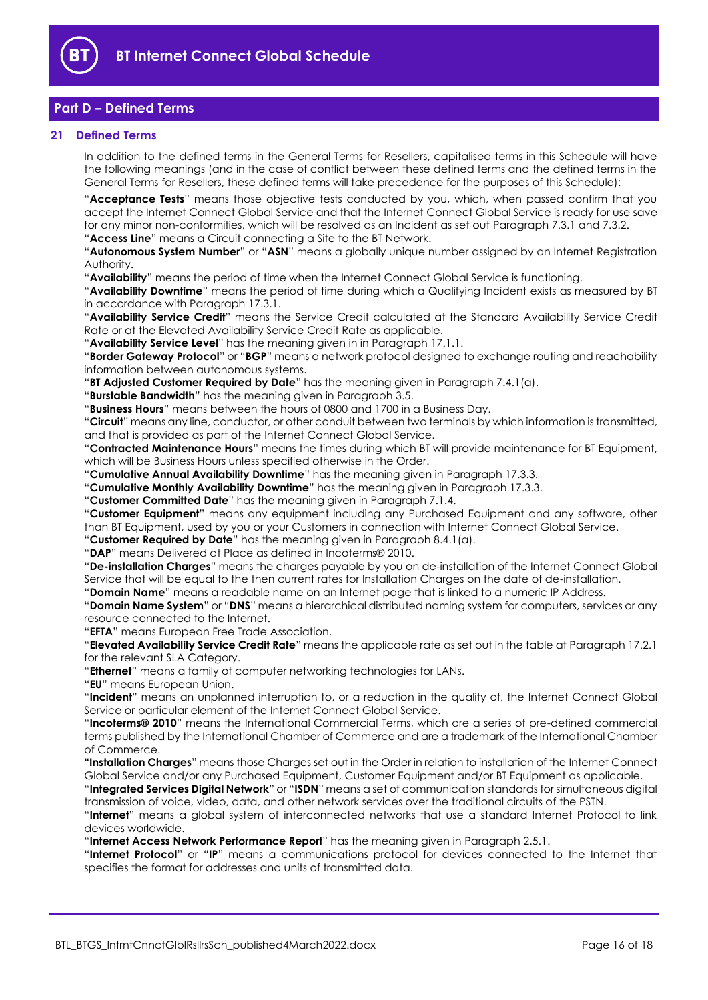

# <span id="page-15-0"></span>**Part D – Defined Terms**

## <span id="page-15-1"></span>**21 Defined Terms**

In addition to the defined terms in the General Terms for Resellers, capitalised terms in this Schedule will have the following meanings (and in the case of conflict between these defined terms and the defined terms in the General Terms for Resellers, these defined terms will take precedence for the purposes of this Schedule):

"**Acceptance Tests**" means those objective tests conducted by you, which, when passed confirm that you accept the Internet Connect Global Service and that the Internet Connect Global Service is ready for use save for any minor non-conformities, which will be resolved as an Incident as set out Paragraph [7.3.1](#page-5-6) an[d 7.3.2.](#page-5-7)

"**Access Line**" means a Circuit connecting a Site to the BT Network.

"**Autonomous System Number**" or "**ASN**" means a globally unique number assigned by an Internet Registration Authority.

"**Availability**" means the period of time when the Internet Connect Global Service is functioning.

"**Availability Downtime**" means the period of time during which a Qualifying Incident exists as measured by BT in accordance with Paragraph [17.3.1.](#page-13-4)

"**Availability Service Credit**" means the Service Credit calculated at the Standard Availability Service Credit Rate or at the Elevated Availability Service Credit Rate as applicable.

"**Availability Service Level**" has the meaning given in in Paragraph [17.1.1.](#page-12-4)

"**Border Gateway Protocol**" or "**BGP**" means a network protocol designed to exchange routing and reachability information between autonomous systems.

"**BT Adjusted Customer Required by Date**" has the meaning given in Paragraph [7.4.1\(a\).](#page-5-8)

"**Burstable Bandwidth**" has the meaning given in Paragrap[h 3.5.](#page-3-3)

"**Business Hours**" means between the hours of 0800 and 1700 in a Business Day.

"**Circuit**" means any line, conductor, or other conduit between two terminals by which information is transmitted, and that is provided as part of the Internet Connect Global Service.

"**Contracted Maintenance Hours**" means the times during which BT will provide maintenance for BT Equipment, which will be Business Hours unless specified otherwise in the Order.

"**Cumulative Annual Availability Downtime**" has the meaning given in Paragraph [17.3.3.](#page-13-5)

"**Cumulative Monthly Availability Downtime**" has the meaning given in Paragraph [17.3.3.](#page-13-5)

"**Customer Committed Date**" has the meaning given in Paragraph [7.1.4.](#page-5-4)

"**Customer Equipment**" means any equipment including any Purchased Equipment and any software, other than BT Equipment, used by you or your Customers in connection with Internet Connect Global Service.

"**Customer Required by Date**" has the meaning given in Paragraph [8.4.1\(a\).](#page-8-7)

"**DAP**" means Delivered at Place as defined in Incoterms® 2010.

"**De-installation Charges**" means the charges payable by you on de-installation of the Internet Connect Global Service that will be equal to the then current rates for Installation Charges on the date of de-installation.

"**Domain Name**" means a readable name on an Internet page that is linked to a numeric IP Address.

"**Domain Name System**" or "**DNS**" means a hierarchical distributed naming system for computers, services or any resource connected to the Internet.

"**EFTA**" means European Free Trade Association.

"**Elevated Availability Service Credit Rate**" means the applicable rate as set out in the table at Paragraph [17.2.1](#page-12-5) for the relevant SLA Category.

"**Ethernet**" means a family of computer networking technologies for LANs.

"**EU**" means European Union.

"**Incident**" means an unplanned interruption to, or a reduction in the quality of, the Internet Connect Global Service or particular element of the Internet Connect Global Service.

"**Incoterms® 2010**" means the International Commercial Terms, which are a series of pre-defined commercial terms published by the International Chamber of Commerce and are a trademark of the International Chamber of Commerce.

**"Installation Charges**" means those Charges set out in the Order in relation to installation of the Internet Connect Global Service and/or any Purchased Equipment, Customer Equipment and/or BT Equipment as applicable.

"**Integrated Services Digital Network**" or "**ISDN**" means a set of communication standards for simultaneous digital transmission of voice, video, data, and other network services over the traditional circuits of the PSTN.

"**Internet**" means a global system of interconnected networks that use a standard Internet Protocol to link devices worldwide.

"**Internet Access Network Performance Report**" has the meaning given in Paragraph [2.5.1.](#page-2-2)

"**Internet Protocol**" or "**IP**" means a communications protocol for devices connected to the Internet that specifies the format for addresses and units of transmitted data.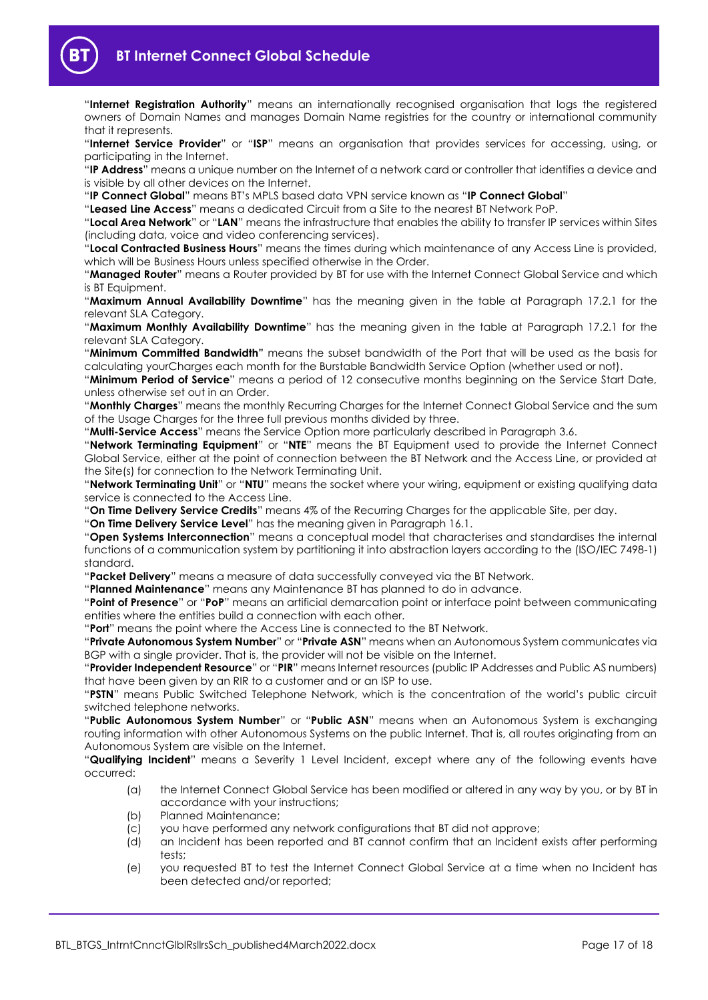"**Internet Registration Authority**" means an internationally recognised organisation that logs the registered owners of Domain Names and manages Domain Name registries for the country or international community that it represents.

"**Internet Service Provider**" or "**ISP**" means an organisation that provides services for accessing, using, or participating in the Internet.

"**IP Address**" means a unique number on the Internet of a network card or controller that identifies a device and is visible by all other devices on the Internet.

"**IP Connect Global**" means BT's MPLS based data VPN service known as "**IP Connect Global**"

"**Leased Line Access**" means a dedicated Circuit from a Site to the nearest BT Network PoP.

"**Local Area Network**" or "**LAN**" means the infrastructure that enables the ability to transfer IP services within Sites (including data, voice and video conferencing services).

"**Local Contracted Business Hours**" means the times during which maintenance of any Access Line is provided, which will be Business Hours unless specified otherwise in the Order.

"**Managed Router**" means a Router provided by BT for use with the Internet Connect Global Service and which is BT Equipment.

"**Maximum Annual Availability Downtime**" has the meaning given in the table at Paragraph [17.2.1](#page-12-5) for the relevant SLA Category.

"**Maximum Monthly Availability Downtime**" has the meaning given in the table at Paragraph [17.2.1](#page-12-5) for the relevant SLA Category.

"**Minimum Committed Bandwidth"** means the subset bandwidth of the Port that will be used as the basis for calculating yourCharges each month for the Burstable Bandwidth Service Option (whether used or not).

"**Minimum Period of Service**" means a period of 12 consecutive months beginning on the Service Start Date, unless otherwise set out in an Order.

"**Monthly Charges**" means the monthly Recurring Charges for the Internet Connect Global Service and the sum of the Usage Charges for the three full previous months divided by three.

"**Multi-Service Access**" means the Service Option more particularly described in Paragraph [3.6.](#page-3-4)

"**Network Terminating Equipment**" or "**NTE**" means the BT Equipment used to provide the Internet Connect Global Service, either at the point of connection between the BT Network and the Access Line, or provided at the Site(s) for connection to the Network Terminating Unit.

"**Network Terminating Unit**" or "**NTU**" means the socket where your wiring, equipment or existing qualifying data service is connected to the Access Line.

"**On Time Delivery Service Credits**" means 4% of the Recurring Charges for the applicable Site, per day.

"**On Time Delivery Service Level**" has the meaning given in Paragraph [16.1.](#page-12-6)

"**Open Systems Interconnection**" means a conceptual model that characterises and standardises the internal functions of a communication system by partitioning it into abstraction layers according to the (ISO/IEC 7498-1) standard.

"**Packet Delivery**" means a measure of data successfully conveyed via the BT Network.

"**Planned Maintenance**" means any Maintenance BT has planned to do in advance.

"**Point of Presence**" or "**PoP**" means an artificial demarcation point or interface point between communicating entities where the entities build a connection with each other.

"**Port**" means the point where the Access Line is connected to the BT Network.

"**Private Autonomous System Number**" or "**Private ASN**" means when an Autonomous System communicates via BGP with a single provider. That is, the provider will not be visible on the Internet.

"**Provider Independent Resource**" or "**PIR**" means Internet resources (public IP Addresses and Public AS numbers) that have been given by an RIR to a customer and or an ISP to use.

"**PSTN**" means Public Switched Telephone Network, which is the concentration of the world's public circuit switched telephone networks.

"**Public Autonomous System Number**" or "**Public ASN**" means when an Autonomous System is exchanging routing information with other Autonomous Systems on the public Internet. That is, all routes originating from an Autonomous System are visible on the Internet.

"**Qualifying Incident**" means a Severity 1 Level Incident, except where any of the following events have occurred:

- (a) the Internet Connect Global Service has been modified or altered in any way by you, or by BT in accordance with your instructions;
- (b) Planned Maintenance;
- (c) you have performed any network configurations that BT did not approve;
- (d) an Incident has been reported and BT cannot confirm that an Incident exists after performing tests;
- (e) you requested BT to test the Internet Connect Global Service at a time when no Incident has been detected and/or reported;